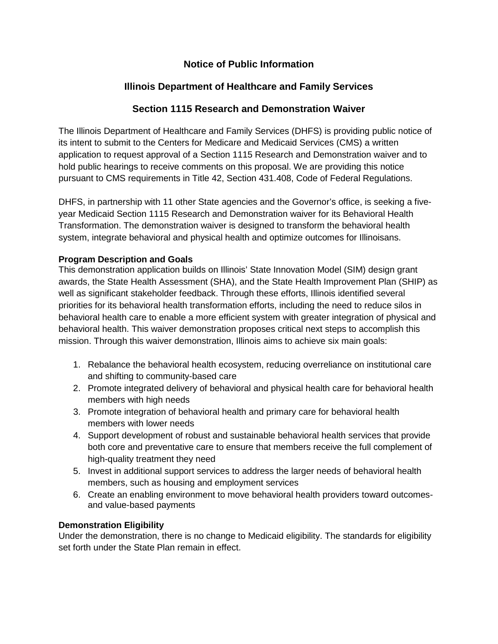# **Notice of Public Information**

# **Illinois Department of Healthcare and Family Services**

# **Section 1115 Research and Demonstration Waiver**

The Illinois Department of Healthcare and Family Services (DHFS) is providing public notice of its intent to submit to the Centers for Medicare and Medicaid Services (CMS) a written application to request approval of a Section 1115 Research and Demonstration waiver and to hold public hearings to receive comments on this proposal. We are providing this notice pursuant to CMS requirements in Title 42, Section 431.408, Code of Federal Regulations.

DHFS, in partnership with 11 other State agencies and the Governor's office, is seeking a fiveyear Medicaid Section 1115 Research and Demonstration waiver for its Behavioral Health Transformation. The demonstration waiver is designed to transform the behavioral health system, integrate behavioral and physical health and optimize outcomes for Illinoisans.

## **Program Description and Goals**

This demonstration application builds on Illinois' State Innovation Model (SIM) design grant awards, the State Health Assessment (SHA), and the State Health Improvement Plan (SHIP) as well as significant stakeholder feedback. Through these efforts, Illinois identified several priorities for its behavioral health transformation efforts, including the need to reduce silos in behavioral health care to enable a more efficient system with greater integration of physical and behavioral health. This waiver demonstration proposes critical next steps to accomplish this mission. Through this waiver demonstration, Illinois aims to achieve six main goals:

- 1. Rebalance the behavioral health ecosystem, reducing overreliance on institutional care and shifting to community-based care
- 2. Promote integrated delivery of behavioral and physical health care for behavioral health members with high needs
- 3. Promote integration of behavioral health and primary care for behavioral health members with lower needs
- 4. Support development of robust and sustainable behavioral health services that provide both core and preventative care to ensure that members receive the full complement of high-quality treatment they need
- 5. Invest in additional support services to address the larger needs of behavioral health members, such as housing and employment services
- 6. Create an enabling environment to move behavioral health providers toward outcomesand value-based payments

## **Demonstration Eligibility**

Under the demonstration, there is no change to Medicaid eligibility. The standards for eligibility set forth under the State Plan remain in effect.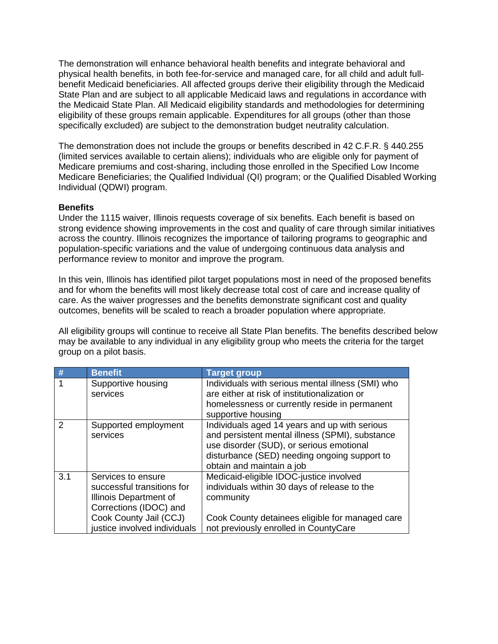The demonstration will enhance behavioral health benefits and integrate behavioral and physical health benefits, in both fee-for-service and managed care, for all child and adult fullbenefit Medicaid beneficiaries. All affected groups derive their eligibility through the Medicaid State Plan and are subject to all applicable Medicaid laws and regulations in accordance with the Medicaid State Plan. All Medicaid eligibility standards and methodologies for determining eligibility of these groups remain applicable. Expenditures for all groups (other than those specifically excluded) are subject to the demonstration budget neutrality calculation.

The demonstration does not include the groups or benefits described in 42 C.F.R. § 440.255 (limited services available to certain aliens); individuals who are eligible only for payment of Medicare premiums and cost-sharing, including those enrolled in the Specified Low Income Medicare Beneficiaries; the Qualified Individual (QI) program; or the Qualified Disabled Working Individual (QDWI) program.

### **Benefits**

Under the 1115 waiver, Illinois requests coverage of six benefits. Each benefit is based on strong evidence showing improvements in the cost and quality of care through similar initiatives across the country. Illinois recognizes the importance of tailoring programs to geographic and population-specific variations and the value of undergoing continuous data analysis and performance review to monitor and improve the program.

In this vein, Illinois has identified pilot target populations most in need of the proposed benefits and for whom the benefits will most likely decrease total cost of care and increase quality of care. As the waiver progresses and the benefits demonstrate significant cost and quality outcomes, benefits will be scaled to reach a broader population where appropriate.

All eligibility groups will continue to receive all State Plan benefits. The benefits described below may be available to any individual in any eligibility group who meets the criteria for the target group on a pilot basis.

| #             | <b>Benefit</b>                                                                                                                                                 | <b>Target group</b>                                                                                                                                                                                                       |
|---------------|----------------------------------------------------------------------------------------------------------------------------------------------------------------|---------------------------------------------------------------------------------------------------------------------------------------------------------------------------------------------------------------------------|
|               | Supportive housing<br>services                                                                                                                                 | Individuals with serious mental illness (SMI) who<br>are either at risk of institutionalization or<br>homelessness or currently reside in permanent<br>supportive housing                                                 |
| $\mathcal{P}$ | Supported employment<br>services                                                                                                                               | Individuals aged 14 years and up with serious<br>and persistent mental illness (SPMI), substance<br>use disorder (SUD), or serious emotional<br>disturbance (SED) needing ongoing support to<br>obtain and maintain a job |
| 3.1           | Services to ensure<br>successful transitions for<br>Illinois Department of<br>Corrections (IDOC) and<br>Cook County Jail (CCJ)<br>justice involved individuals | Medicaid-eligible IDOC-justice involved<br>individuals within 30 days of release to the<br>community<br>Cook County detainees eligible for managed care<br>not previously enrolled in CountyCare                          |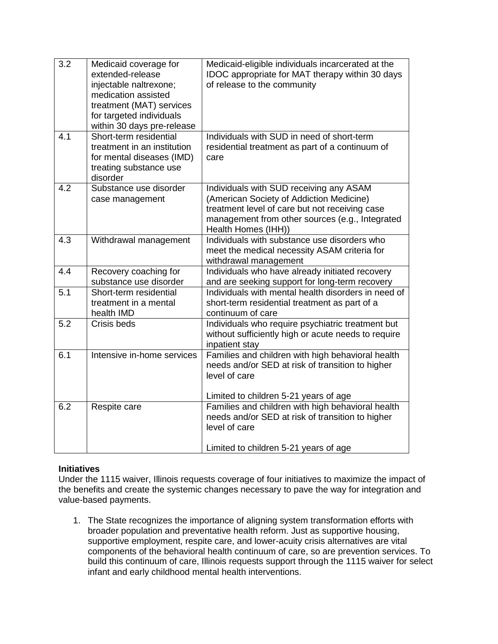| $\overline{3.2}$ | Medicaid coverage for<br>extended-release<br>injectable naltrexone;<br>medication assisted<br>treatment (MAT) services<br>for targeted individuals<br>within 30 days pre-release | Medicaid-eligible individuals incarcerated at the<br>IDOC appropriate for MAT therapy within 30 days<br>of release to the community                                                                             |
|------------------|----------------------------------------------------------------------------------------------------------------------------------------------------------------------------------|-----------------------------------------------------------------------------------------------------------------------------------------------------------------------------------------------------------------|
| $\overline{4.1}$ | Short-term residential<br>treatment in an institution<br>for mental diseases (IMD)<br>treating substance use<br>disorder                                                         | Individuals with SUD in need of short-term<br>residential treatment as part of a continuum of<br>care                                                                                                           |
| 4.2              | Substance use disorder<br>case management                                                                                                                                        | Individuals with SUD receiving any ASAM<br>(American Society of Addiction Medicine)<br>treatment level of care but not receiving case<br>management from other sources (e.g., Integrated<br>Health Homes (IHH)) |
| 4.3              | Withdrawal management                                                                                                                                                            | Individuals with substance use disorders who<br>meet the medical necessity ASAM criteria for<br>withdrawal management                                                                                           |
| 4.4              | Recovery coaching for<br>substance use disorder                                                                                                                                  | Individuals who have already initiated recovery<br>and are seeking support for long-term recovery                                                                                                               |
| $\overline{5.1}$ | Short-term residential<br>treatment in a mental<br>health IMD                                                                                                                    | Individuals with mental health disorders in need of<br>short-term residential treatment as part of a<br>continuum of care                                                                                       |
| 5.2              | Crisis beds                                                                                                                                                                      | Individuals who require psychiatric treatment but<br>without sufficiently high or acute needs to require<br>inpatient stay                                                                                      |
| 6.1              | Intensive in-home services                                                                                                                                                       | Families and children with high behavioral health<br>needs and/or SED at risk of transition to higher<br>level of care<br>Limited to children 5-21 years of age                                                 |
| 6.2              | Respite care                                                                                                                                                                     | Families and children with high behavioral health<br>needs and/or SED at risk of transition to higher<br>level of care<br>Limited to children 5-21 years of age                                                 |

### **Initiatives**

Under the 1115 waiver, Illinois requests coverage of four initiatives to maximize the impact of the benefits and create the systemic changes necessary to pave the way for integration and value-based payments.

1. The State recognizes the importance of aligning system transformation efforts with broader population and preventative health reform. Just as supportive housing, supportive employment, respite care, and lower-acuity crisis alternatives are vital components of the behavioral health continuum of care, so are prevention services. To build this continuum of care, Illinois requests support through the 1115 waiver for select infant and early childhood mental health interventions.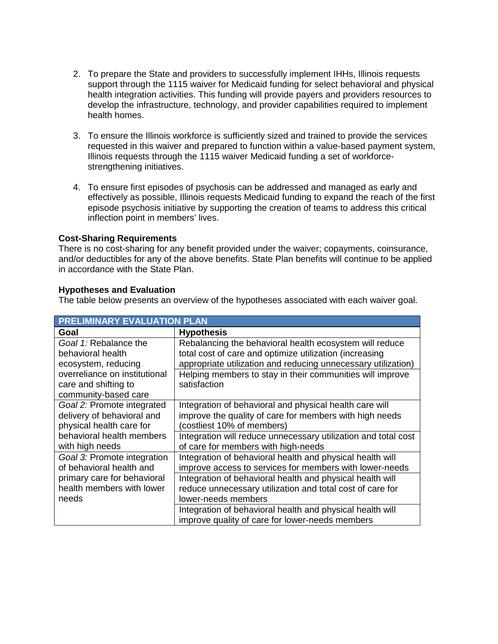- 2. To prepare the State and providers to successfully implement IHHs, Illinois requests support through the 1115 waiver for Medicaid funding for select behavioral and physical health integration activities. This funding will provide payers and providers resources to develop the infrastructure, technology, and provider capabilities required to implement health homes.
- 3. To ensure the Illinois workforce is sufficiently sized and trained to provide the services requested in this waiver and prepared to function within a value-based payment system, Illinois requests through the 1115 waiver Medicaid funding a set of workforcestrengthening initiatives.
- 4. To ensure first episodes of psychosis can be addressed and managed as early and effectively as possible, Illinois requests Medicaid funding to expand the reach of the first episode psychosis initiative by supporting the creation of teams to address this critical inflection point in members' lives.

#### **Cost-Sharing Requirements**

There is no cost-sharing for any benefit provided under the waiver; copayments, coinsurance, and/or deductibles for any of the above benefits. State Plan benefits will continue to be applied in accordance with the State Plan.

### **Hypotheses and Evaluation**

The table below presents an overview of the hypotheses associated with each waiver goal.

| <b>PRELIMINARY EVALUATION PLAN</b> |                                                                |  |  |  |
|------------------------------------|----------------------------------------------------------------|--|--|--|
| Goal                               | <b>Hypothesis</b>                                              |  |  |  |
| Goal 1: Rebalance the              | Rebalancing the behavioral health ecosystem will reduce        |  |  |  |
| behavioral health                  | total cost of care and optimize utilization (increasing        |  |  |  |
| ecosystem, reducing                | appropriate utilization and reducing unnecessary utilization)  |  |  |  |
| overreliance on institutional      | Helping members to stay in their communities will improve      |  |  |  |
| care and shifting to               | satisfaction                                                   |  |  |  |
| community-based care               |                                                                |  |  |  |
| Goal 2: Promote integrated         | Integration of behavioral and physical health care will        |  |  |  |
| delivery of behavioral and         | improve the quality of care for members with high needs        |  |  |  |
| physical health care for           | (costliest 10% of members)                                     |  |  |  |
| behavioral health members          | Integration will reduce unnecessary utilization and total cost |  |  |  |
| with high needs                    | of care for members with high-needs                            |  |  |  |
| Goal 3: Promote integration        | Integration of behavioral health and physical health will      |  |  |  |
| of behavioral health and           | improve access to services for members with lower-needs        |  |  |  |
| primary care for behavioral        | Integration of behavioral health and physical health will      |  |  |  |
| health members with lower          | reduce unnecessary utilization and total cost of care for      |  |  |  |
| needs                              | lower-needs members                                            |  |  |  |
|                                    | Integration of behavioral health and physical health will      |  |  |  |
|                                    | improve quality of care for lower-needs members                |  |  |  |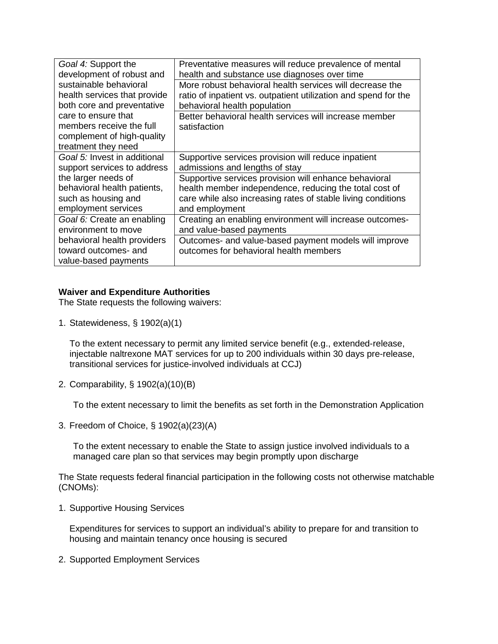| Goal 4: Support the          | Preventative measures will reduce prevalence of mental          |
|------------------------------|-----------------------------------------------------------------|
| development of robust and    | health and substance use diagnoses over time                    |
| sustainable behavioral       | More robust behavioral health services will decrease the        |
| health services that provide | ratio of inpatient vs. outpatient utilization and spend for the |
| both core and preventative   | behavioral health population                                    |
| care to ensure that          | Better behavioral health services will increase member          |
| members receive the full     | satisfaction                                                    |
| complement of high-quality   |                                                                 |
| treatment they need          |                                                                 |
| Goal 5: Invest in additional | Supportive services provision will reduce inpatient             |
| support services to address  | admissions and lengths of stay                                  |
| the larger needs of          | Supportive services provision will enhance behavioral           |
| behavioral health patients,  | health member independence, reducing the total cost of          |
| such as housing and          | care while also increasing rates of stable living conditions    |
| employment services          | and employment                                                  |
| Goal 6: Create an enabling   | Creating an enabling environment will increase outcomes-        |
| environment to move          | and value-based payments                                        |
| behavioral health providers  | Outcomes- and value-based payment models will improve           |
| toward outcomes- and         | outcomes for behavioral health members                          |
| value-based payments         |                                                                 |

## **Waiver and Expenditure Authorities**

The State requests the following waivers:

1. Statewideness, § 1902(a)(1)

To the extent necessary to permit any limited service benefit (e.g., extended-release, injectable naltrexone MAT services for up to 200 individuals within 30 days pre-release, transitional services for justice-involved individuals at CCJ)

2. Comparability, § 1902(a)(10)(B)

To the extent necessary to limit the benefits as set forth in the Demonstration Application

3. Freedom of Choice, § 1902(a)(23)(A)

To the extent necessary to enable the State to assign justice involved individuals to a managed care plan so that services may begin promptly upon discharge

The State requests federal financial participation in the following costs not otherwise matchable (CNOMs):

1. Supportive Housing Services

Expenditures for services to support an individual's ability to prepare for and transition to housing and maintain tenancy once housing is secured

2. Supported Employment Services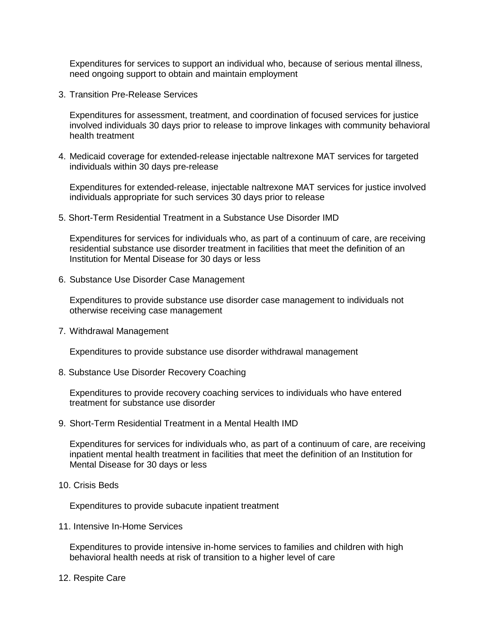Expenditures for services to support an individual who, because of serious mental illness, need ongoing support to obtain and maintain employment

3. Transition Pre-Release Services

Expenditures for assessment, treatment, and coordination of focused services for justice involved individuals 30 days prior to release to improve linkages with community behavioral health treatment

4. Medicaid coverage for extended-release injectable naltrexone MAT services for targeted individuals within 30 days pre-release

Expenditures for extended-release, injectable naltrexone MAT services for justice involved individuals appropriate for such services 30 days prior to release

5. Short-Term Residential Treatment in a Substance Use Disorder IMD

Expenditures for services for individuals who, as part of a continuum of care, are receiving residential substance use disorder treatment in facilities that meet the definition of an Institution for Mental Disease for 30 days or less

6. Substance Use Disorder Case Management

Expenditures to provide substance use disorder case management to individuals not otherwise receiving case management

7. Withdrawal Management

Expenditures to provide substance use disorder withdrawal management

8. Substance Use Disorder Recovery Coaching

Expenditures to provide recovery coaching services to individuals who have entered treatment for substance use disorder

9. Short-Term Residential Treatment in a Mental Health IMD

Expenditures for services for individuals who, as part of a continuum of care, are receiving inpatient mental health treatment in facilities that meet the definition of an Institution for Mental Disease for 30 days or less

10. Crisis Beds

Expenditures to provide subacute inpatient treatment

11. Intensive In-Home Services

Expenditures to provide intensive in-home services to families and children with high behavioral health needs at risk of transition to a higher level of care

12. Respite Care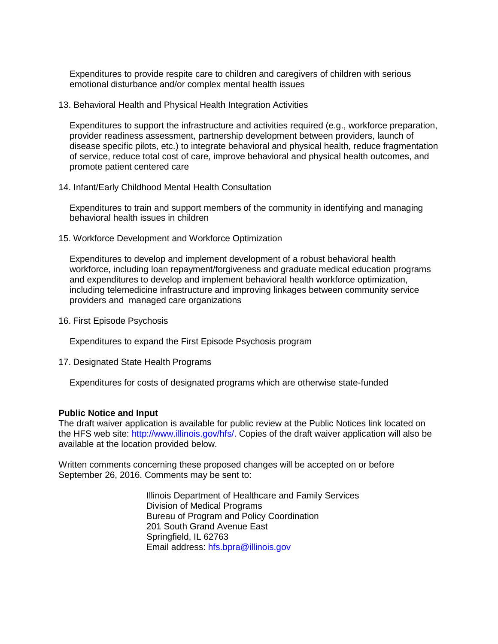Expenditures to provide respite care to children and caregivers of children with serious emotional disturbance and/or complex mental health issues

13. Behavioral Health and Physical Health Integration Activities

Expenditures to support the infrastructure and activities required (e.g., workforce preparation, provider readiness assessment, partnership development between providers, launch of disease specific pilots, etc.) to integrate behavioral and physical health, reduce fragmentation of service, reduce total cost of care, improve behavioral and physical health outcomes, and promote patient centered care

14. Infant/Early Childhood Mental Health Consultation

Expenditures to train and support members of the community in identifying and managing behavioral health issues in children

15. Workforce Development and Workforce Optimization

Expenditures to develop and implement development of a robust behavioral health workforce, including loan repayment/forgiveness and graduate medical education programs and expenditures to develop and implement behavioral health workforce optimization, including telemedicine infrastructure and improving linkages between community service providers and managed care organizations

16. First Episode Psychosis

Expenditures to expand the First Episode Psychosis program

17. Designated State Health Programs

Expenditures for costs of designated programs which are otherwise state-funded

#### **Public Notice and Input**

The draft waiver application is available for public review at the Public Notices link located on the HFS web site: [http://www.illinois.gov/hfs/.](http://www.illinois.gov/hfs/) Copies of the draft waiver application will also be available at the location provided below.

Written comments concerning these proposed changes will be accepted on or before September 26, 2016. Comments may be sent to:

> Illinois Department of Healthcare and Family Services Division of Medical Programs Bureau of Program and Policy Coordination 201 South Grand Avenue East Springfield, IL 62763 Email address: [hfs.bpra@illinois.gov](mailto:hfs.bpra@illinois.gov)